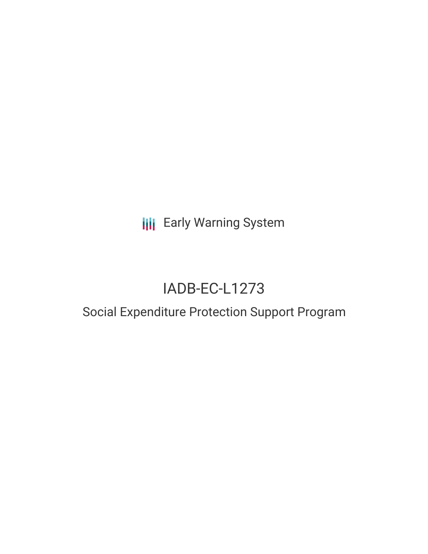## **III** Early Warning System

# IADB-EC-L1273

## Social Expenditure Protection Support Program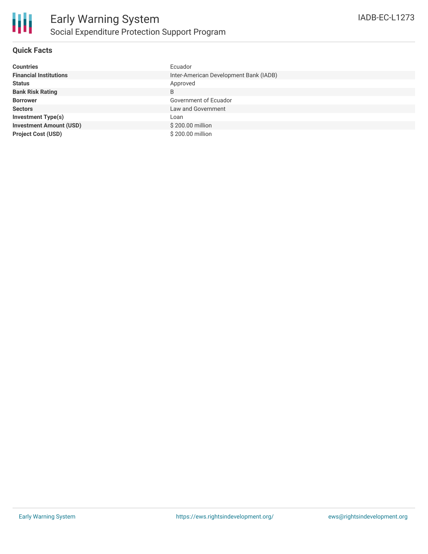

### **Quick Facts**

| <b>Countries</b>               | Ecuador                                |
|--------------------------------|----------------------------------------|
| <b>Financial Institutions</b>  | Inter-American Development Bank (IADB) |
| <b>Status</b>                  | Approved                               |
| <b>Bank Risk Rating</b>        | B                                      |
| <b>Borrower</b>                | Government of Ecuador                  |
| <b>Sectors</b>                 | Law and Government                     |
| <b>Investment Type(s)</b>      | Loan                                   |
| <b>Investment Amount (USD)</b> | \$200.00 million                       |
| <b>Project Cost (USD)</b>      | \$200.00 million                       |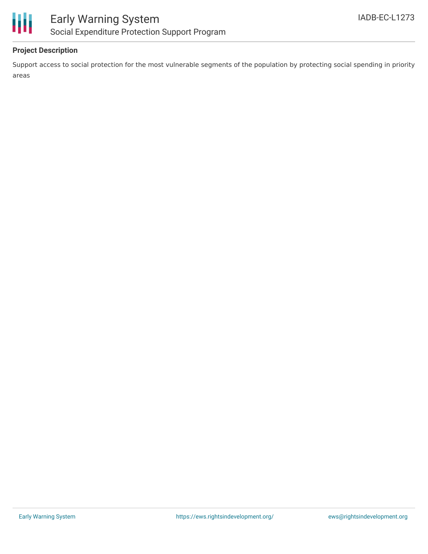

## **Project Description**

Support access to social protection for the most vulnerable segments of the population by protecting social spending in priority areas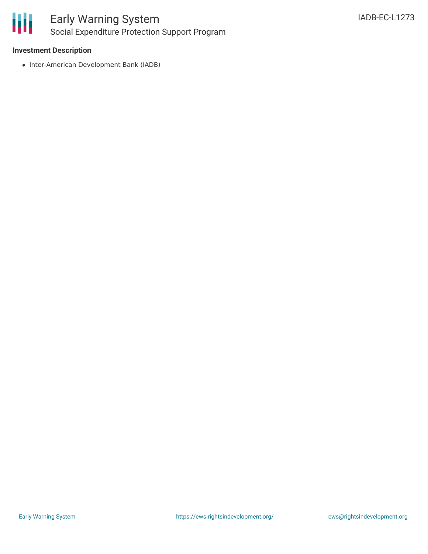

### **Investment Description**

• Inter-American Development Bank (IADB)